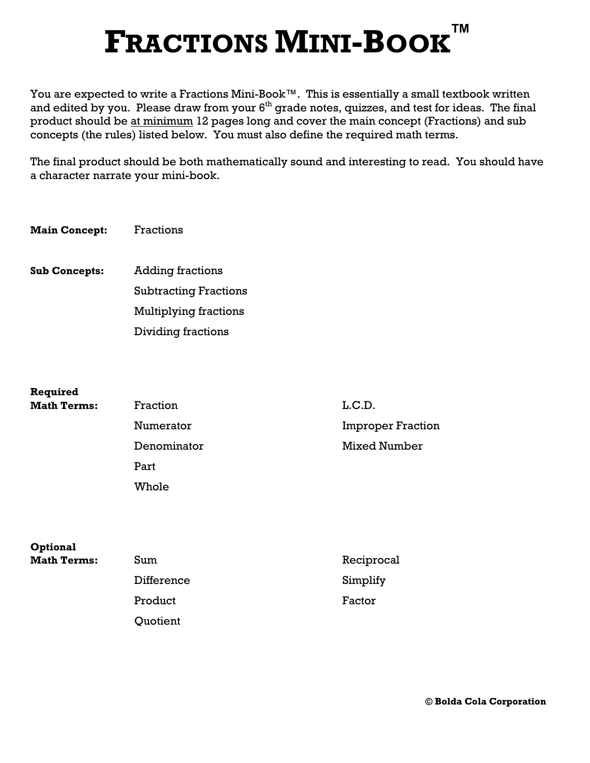## FRACTIONS MINI-BOOK ™

You are expected to write a Fractions Mini-Book™. This is essentially a small textbook written and edited by you. Please draw from your  $6<sup>th</sup>$  grade notes, quizzes, and test for ideas. The final product should be at minimum 12 pages long and cover the main concept (Fractions) and sub concepts (the rules) listed below. You must also define the required math terms.

The final product should be both mathematically sound and interesting to read. You should have a character narrate your mini-book.

Main Concept: Fractions

Sub Concepts: Adding fractions Subtracting Fractions Multiplying fractions Dividing fractions

| Required           |             |                          |
|--------------------|-------------|--------------------------|
| <b>Math Terms:</b> | Fraction    | L.C.D.                   |
|                    | Numerator   | <b>Improper Fraction</b> |
|                    | Denominator | <b>Mixed Number</b>      |
|                    | Part        |                          |
|                    | Whole       |                          |
|                    |             |                          |
|                    |             |                          |

| <b>Optional</b>    |            |            |
|--------------------|------------|------------|
| <b>Math Terms:</b> | Sum        | Reciprocal |
|                    | Difference | Simplify   |
|                    | Product    | Factor     |
|                    | Quotient   |            |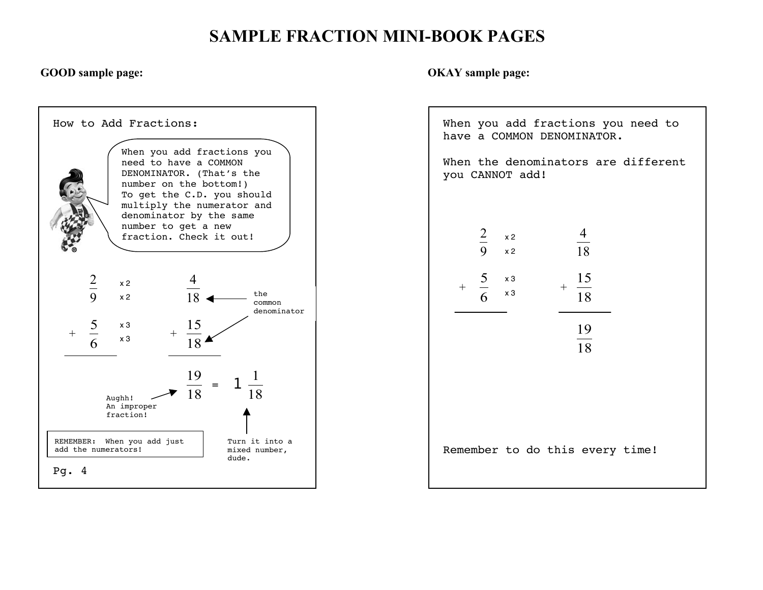## SAMPLE FRACTION MINI-BOOK PAGES



GOOD sample page:  $OKAY$  sample page:

 When you add fractions you need to have a COMMON DENOMINATOR. When the denominators are different you CANNOT add!  $\overline{a}$ ! 2 9 x 2 4 18  $+$  5 6  $+$  $\overline{a}$ 15 18  $\frac{1}{18}$ 19 Remember to do this every time! x 2 x 2 x 3 x 3